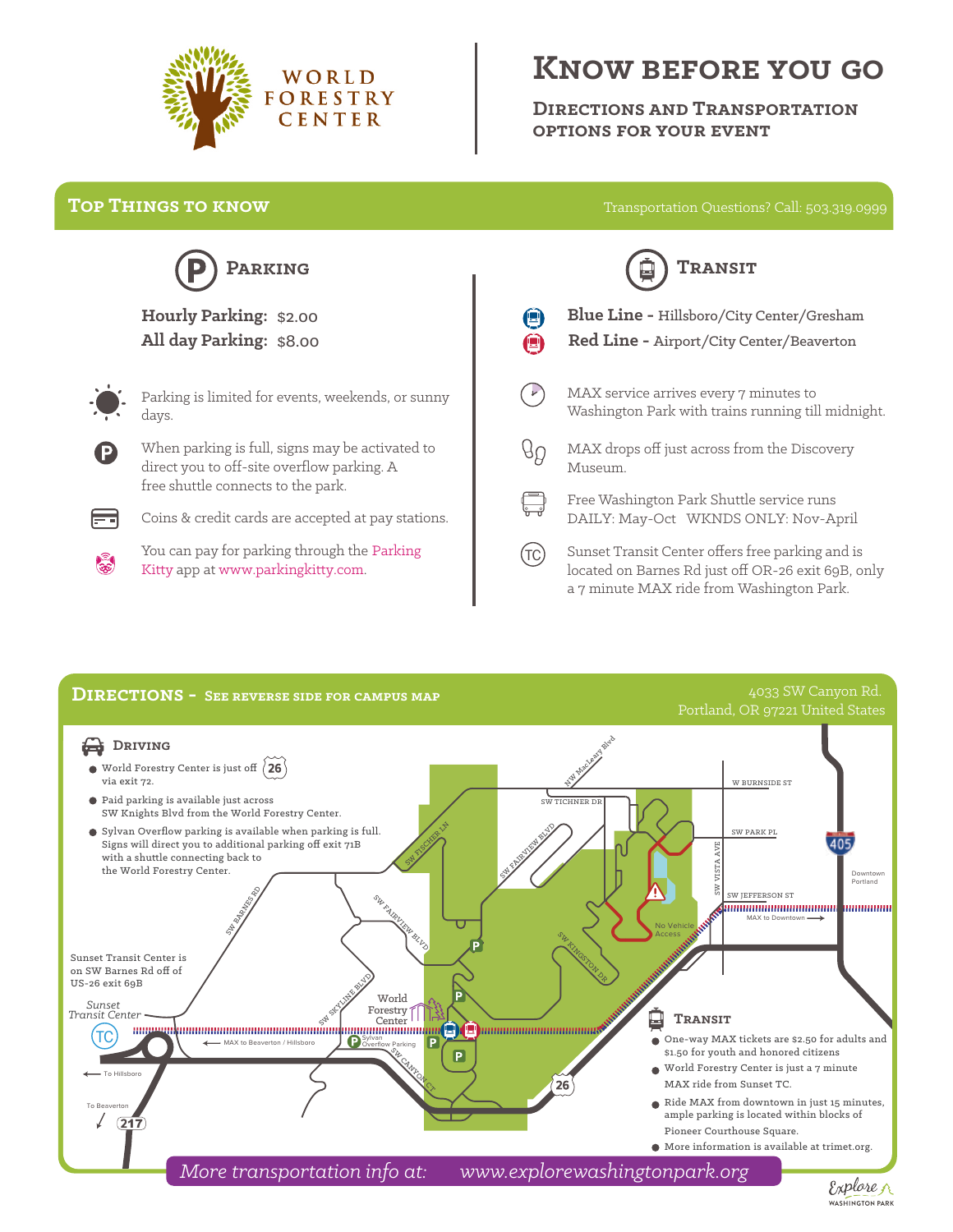

## **KNOW BEFORE YOU GO**

**DIRECTIONS AND TRANSPORTATION OPTIONS FOR YOUR EVENT**

## **TOP THINGS TO KNOW**

Transportation Questions? Call: 503.319.0999



## **All day Parking:** \$8.00 **Hourly Parking:** \$2.00



Parking is limited for events, weekends, or sunny days.

When parking is full, signs may be activated to direct you to off-site overflow parking. A free shuttle connects to the park.



Coins & credit cards are accepted at pay stations.

You can pay for parking through the Parking Kitty app at www.parkingkitty.com.

| <b>TRANSIT</b> |                                                                                                     |
|----------------|-----------------------------------------------------------------------------------------------------|
|                | <b>Blue Line - Hillsboro/City Center/Gresham</b><br><b>Red Line - Airport/City Center/Beaverton</b> |
|                | MAX service arrives every 7 minutes to<br>Washington Park with trains running till midnight.        |
|                | MAX drops off just across from the Discovery<br>Museum.                                             |
|                | Free Washington Park Shuttle service runs<br>DAILY: May-Oct WKNDS ONLY: Nov-April                   |
|                |                                                                                                     |

Sunset Transit Center offers free parking and is located on Barnes Rd just off OR-26 exit 69B, only a 7 minute MAX ride from Washington Park.  $(TC)$